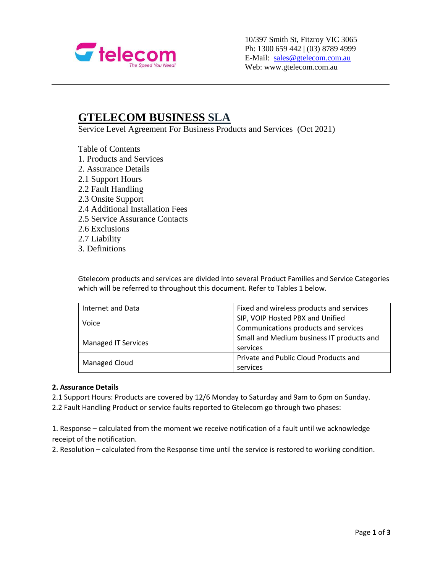

10/397 Smith St, Fitzroy VIC 3065 Ph: 1300 659 442 | (03) 8789 4999 E-Mail: [sales@gtelecom.com.au](mailto:sales@gtelecom.com.au) Web: www.gtelecom.com.au

# **GTELECOM BUSINESS SLA**

Service Level Agreement For Business Products and Services (Oct 2021)

Table of Contents 1. Products and Services 2. Assurance Details 2.1 Support Hours 2.2 Fault Handling 2.3 Onsite Support 2.4 Additional Installation Fees 2.5 Service Assurance Contacts 2.6 Exclusions 2.7 Liability 3. Definitions

Gtelecom products and services are divided into several Product Families and Service Categories which will be referred to throughout this document. Refer to Tables 1 below.

| Internet and Data          | Fixed and wireless products and services  |
|----------------------------|-------------------------------------------|
| Voice                      | SIP, VOIP Hosted PBX and Unified          |
|                            | Communications products and services      |
| <b>Managed IT Services</b> | Small and Medium business IT products and |
|                            | services                                  |
| Managed Cloud              | Private and Public Cloud Products and     |
|                            | services                                  |

## **2. Assurance Details**

2.1 Support Hours: Products are covered by 12/6 Monday to Saturday and 9am to 6pm on Sunday. 2.2 Fault Handling Product or service faults reported to Gtelecom go through two phases:

1. Response – calculated from the moment we receive notification of a fault until we acknowledge receipt of the notification.

2. Resolution – calculated from the Response time until the service is restored to working condition.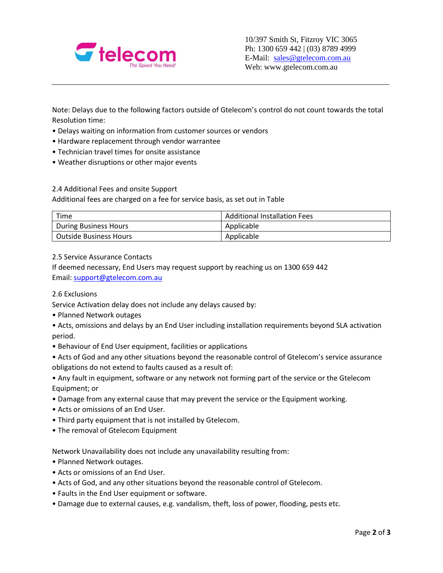

Note: Delays due to the following factors outside of Gtelecom's control do not count towards the total Resolution time:

- Delays waiting on information from customer sources or vendors
- Hardware replacement through vendor warrantee
- Technician travel times for onsite assistance
- Weather disruptions or other major events

### 2.4 Additional Fees and onsite Support

Additional fees are charged on a fee for service basis, as set out in Table

| Time                          | <b>Additional Installation Fees</b> |
|-------------------------------|-------------------------------------|
| <b>During Business Hours</b>  | Applicable                          |
| <b>Outside Business Hours</b> | Applicable                          |

### 2.5 Service Assurance Contacts

If deemed necessary, End Users may request support by reaching us on 1300 659 442 Email: [support@gtelecom.com.au](mailto:support@gtelecom.com.au)

#### 2.6 Exclusions

Service Activation delay does not include any delays caused by:

- Planned Network outages
- Acts, omissions and delays by an End User including installation requirements beyond SLA activation period.
- Behaviour of End User equipment, facilities or applications
- Acts of God and any other situations beyond the reasonable control of Gtelecom's service assurance obligations do not extend to faults caused as a result of:
- Any fault in equipment, software or any network not forming part of the service or the Gtelecom Equipment; or
- Damage from any external cause that may prevent the service or the Equipment working.
- Acts or omissions of an End User.
- Third party equipment that is not installed by Gtelecom.
- The removal of Gtelecom Equipment

Network Unavailability does not include any unavailability resulting from:

- Planned Network outages.
- Acts or omissions of an End User.
- Acts of God, and any other situations beyond the reasonable control of Gtelecom.
- Faults in the End User equipment or software.
- Damage due to external causes, e.g. vandalism, theft, loss of power, flooding, pests etc.